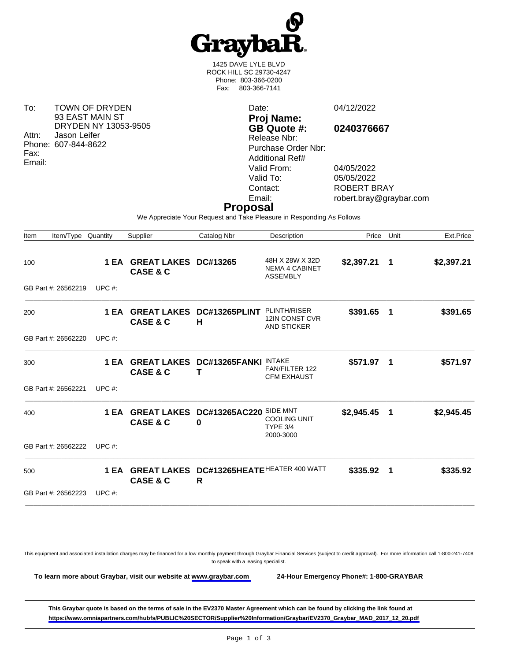

1425 DAVE LYLE BLVD ROCK HILL SC 29730-4247 Phone: 803-366-0200 Fax: 803-366-7141

To: TOWN OF DRYDEN 93 EAST MAIN ST DRYDEN NY 13053-9505 Attn: Jason Leifer Phone: 607-844-8622 Fax: Email:

Date: 04/12/2022 **Proj Name: GB Quote #: 0240376667** Release Nbr: Purchase Order Nbr: Additional Ref# Valid From: 04/05/2022 Valid To: 05/05/2022<br>Contact: ROBERT B

ROBERT BRAY Email: robert.bray@graybar.com

## **Proposal**

We Appreciate Your Request and Take Pleasure in Responding As Follows

| Item/Type<br>Item          | Quantity  | Supplier                                           | Catalog Nbr                       | Description                                                     | Price        | Unit        | Ext.Price  |
|----------------------------|-----------|----------------------------------------------------|-----------------------------------|-----------------------------------------------------------------|--------------|-------------|------------|
| 100                        | 1 EA      | <b>GREAT LAKES DC#13265</b><br><b>CASE &amp; C</b> |                                   | 48H X 28W X 32D<br><b>NEMA 4 CABINET</b><br><b>ASSEMBLY</b>     | \$2,397.21 1 |             | \$2,397.21 |
| GB Part #: 26562219        | UPC $#$ : |                                                    |                                   |                                                                 |              |             |            |
| 200                        | 1 EA      | <b>GREAT LAKES</b><br><b>CASE &amp; C</b>          | DC#13265PLINT<br>Н                | <b>PLINTH/RISER</b><br>12IN CONST CVR<br><b>AND STICKER</b>     | \$391.65     | $\mathbf 1$ | \$391.65   |
| GB Part #: 26562220        | UPC $#$ : |                                                    |                                   |                                                                 |              |             |            |
| 300                        |           | <b>1 EA GREAT LAKES</b><br><b>CASE &amp; C</b>     | DC#13265FANKI<br>Т                | <b>INTAKE</b><br><b>FAN/FILTER 122</b><br><b>CFM EXHAUST</b>    | \$571.97 1   |             | \$571.97   |
| GB Part #: 26562221        | UPC $#$ : |                                                    |                                   |                                                                 |              |             |            |
| 400                        | 1 EA      | <b>GREAT LAKES</b><br><b>CASE &amp; C</b>          | DC#13265AC220<br>0                | SIDE MNT<br><b>COOLING UNIT</b><br><b>TYPE 3/4</b><br>2000-3000 | \$2,945.45   | - 1         | \$2,945.45 |
| GB Part #: 26562222 UPC #: |           |                                                    |                                   |                                                                 |              |             |            |
| 500                        | 1 EA      | <b>GREAT LAKES</b><br><b>CASE &amp; C</b>          | DC#13265HEATEHEATER 400 WATT<br>R |                                                                 | \$335.92     | -1          | \$335.92   |
| GB Part #: 26562223        | UPC $#$ : |                                                    |                                   |                                                                 |              |             |            |
|                            |           |                                                    |                                   |                                                                 |              |             |            |

This equipment and associated installation charges may be financed for a low monthly payment through Graybar Financial Services (subject to credit approval). For more information call 1-800-241-7408 to speak with a leasing specialist.

**To learn more about Graybar, visit our website at [www.graybar.com](www.graybar.com ) 24-Hour Emergency Phone#: 1-800-GRAYBAR**

**This Graybar quote is based on the terms of sale in the EV2370 Master Agreement which can be found by clicking the link found at [https://www.omniapartners.com/hubfs/PUBLIC%20SECTOR/Supplier%20Information/Graybar/EV2370\\_Graybar\\_MAD\\_2017\\_12\\_20.pdf](https://www.omniapartners.com/hubfs/PUBLIC%20SECTOR/Supplier%20Information/Graybar/EV2370_Graybar_MAD_2017_12_20.pdf)**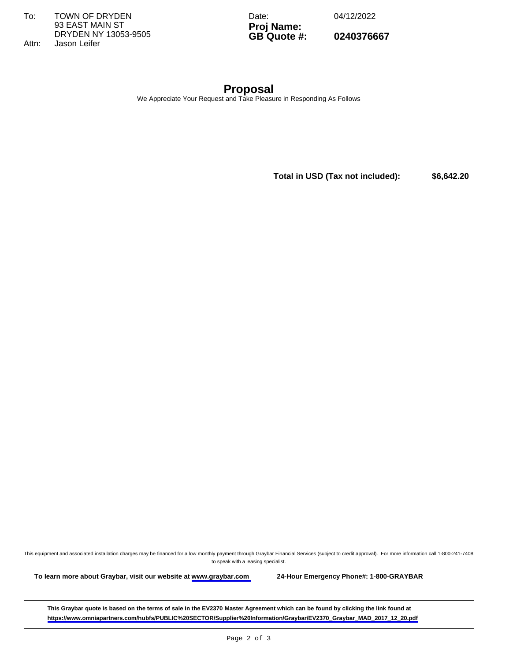To: TOWN OF DRYDEN 93 EAST MAIN ST DRYDEN NY 13053-9505 Attn: Jason Leifer

Date: 04/12/2022

**Proj Name: GB Quote #: 0240376667**

**Proposal** We Appreciate Your Request and Take Pleasure in Responding As Follows

**Total in USD (Tax not included): \$6,642.20** 

This equipment and associated installation charges may be financed for a low monthly payment through Graybar Financial Services (subject to credit approval). For more information call 1-800-241-7408 to speak with a leasing specialist.

**To learn more about Graybar, visit our website at [www.graybar.com](www.graybar.com ) 24-Hour Emergency Phone#: 1-800-GRAYBAR**

**This Graybar quote is based on the terms of sale in the EV2370 Master Agreement which can be found by clicking the link found at [https://www.omniapartners.com/hubfs/PUBLIC%20SECTOR/Supplier%20Information/Graybar/EV2370\\_Graybar\\_MAD\\_2017\\_12\\_20.pdf](https://www.omniapartners.com/hubfs/PUBLIC%20SECTOR/Supplier%20Information/Graybar/EV2370_Graybar_MAD_2017_12_20.pdf)**